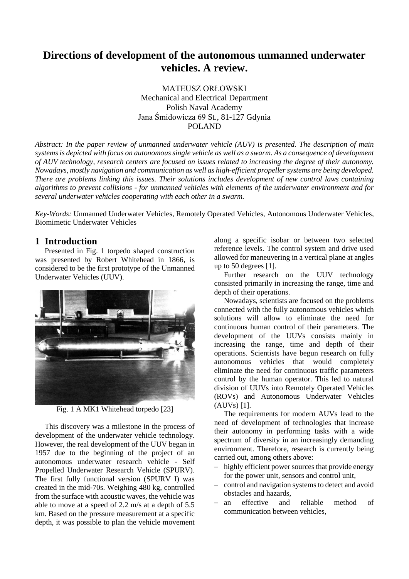# **Directions of development of the autonomous unmanned underwater vehicles. A review.**

MATEUSZ ORŁOWSKI Mechanical and Electrical Department Polish Naval Academy Jana Śmidowicza 69 St., 81-127 Gdynia POLAND

*Abstract: In the paper review of unmanned underwater vehicle (AUV) is presented. The description of main systems is depicted with focus on autonomous single vehicle as well as a swarm. As a consequence of development of AUV technology, research centers are focused on issues related to increasing the degree of their autonomy. Nowadays, mostly navigation and communication as well as high-efficient propeller systems are being developed. There are problems linking this issues. Their solutions includes development of new control laws containing algorithms to prevent collisions - for unmanned vehicles with elements of the underwater environment and for several underwater vehicles cooperating with each other in a swarm.*

*Key-Words:* Unmanned Underwater Vehicles, Remotely Operated Vehicles, Autonomous Underwater Vehicles, Biomimetic Underwater Vehicles

### **1 Introduction**

Presented in Fig. 1 torpedo shaped construction was presented by Robert Whitehead in 1866, is considered to be the first prototype of the Unmanned Underwater Vehicles (UUV).



Fig. 1 A MK1 Whitehead torpedo [23]

This discovery was a milestone in the process of development of the underwater vehicle technology. However, the real development of the UUV began in 1957 due to the beginning of the project of an autonomous underwater research vehicle - Self Propelled Underwater Research Vehicle (SPURV). The first fully functional version (SPURV I) was created in the mid-70s. Weighing 480 kg, controlled from the surface with acoustic waves, the vehicle was able to move at a speed of 2.2 m/s at a depth of 5.5 km. Based on the pressure measurement at a specific depth, it was possible to plan the vehicle movement along a specific isobar or between two selected reference levels. The control system and drive used allowed for maneuvering in a vertical plane at angles up to 50 degrees [1].

Further research on the UUV technology consisted primarily in increasing the range, time and depth of their operations.

Nowadays, scientists are focused on the problems connected with the fully autonomous vehicles which solutions will allow to eliminate the need for continuous human control of their parameters. The development of the UUVs consists mainly in increasing the range, time and depth of their operations. Scientists have begun research on fully autonomous vehicles that would completely eliminate the need for continuous traffic parameters control by the human operator. This led to natural division of UUVs into Remotely Operated Vehicles (ROVs) and Autonomous Underwater Vehicles (AUVs) [1].

The requirements for modern AUVs lead to the need of development of technologies that increase their autonomy in performing tasks with a wide spectrum of diversity in an increasingly demanding environment. Therefore, research is currently being carried out, among others above:

- − highly efficient power sources that provide energy for the power unit, sensors and control unit,
- − control and navigation systems to detect and avoid obstacles and hazards,
- − an effective and reliable method of communication between vehicles,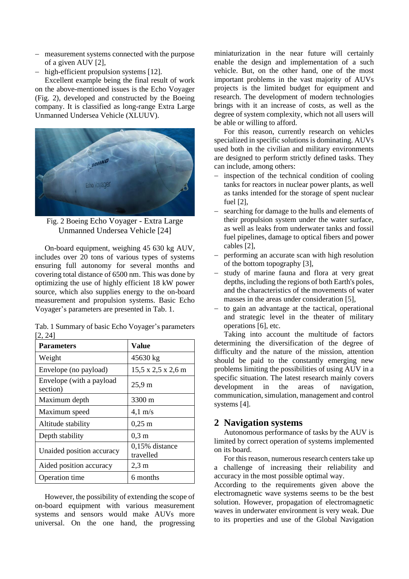- − measurement systems connected with the purpose of a given AUV [2],
- − high-efficient propulsion systems [12].

Excellent example being the final result of work on the above-mentioned issues is the Echo Voyager (Fig. 2), developed and constructed by the Boeing company. It is classified as long-range Extra Large Unmanned Undersea Vehicle (XLUUV).



Fig. 2 Boeing Echo Voyager - Extra Large Unmanned Undersea Vehicle [24]

On-board equipment, weighing 45 630 kg AUV, includes over 20 tons of various types of systems ensuring full autonomy for several months and covering total distance of 6500 nm. This was done by optimizing the use of highly efficient 18 kW power source, which also supplies energy to the on-board measurement and propulsion systems. Basic Echo Voyager's parameters are presented in Tab. 1.

| <b>Parameters</b>                    | Value                       |
|--------------------------------------|-----------------------------|
| Weight                               | 45630 kg                    |
| Envelope (no payload)                | 15,5 x 2,5 x 2,6 m          |
| Envelope (with a payload<br>section) | $25.9 \text{ m}$            |
| Maximum depth                        | 3300 m                      |
| Maximum speed                        | $4,1 \text{ m/s}$           |
| Altitude stability                   | $0,25 \; \rm{m}$            |
| Depth stability                      | $0.3 \text{ m}$             |
| Unaided position accuracy            | 0,15% distance<br>travelled |
| Aided position accuracy              | $2.3 \text{ m}$             |
| <b>Operation time</b>                | 6 months                    |

Tab. 1 Summary of basic Echo Voyager's parameters [2, 24]

However, the possibility of extending the scope of on-board equipment with various measurement systems and sensors would make AUVs more universal. On the one hand, the progressing miniaturization in the near future will certainly enable the design and implementation of a such vehicle. But, on the other hand, one of the most important problems in the vast majority of AUVs projects is the limited budget for equipment and research. The development of modern technologies brings with it an increase of costs, as well as the degree of system complexity, which not all users will be able or willing to afford.

For this reason, currently research on vehicles specialized in specific solutions is dominating. AUVs used both in the civilian and military environments are designed to perform strictly defined tasks. They can include, among others:

- − inspection of the technical condition of cooling tanks for reactors in nuclear power plants, as well as tanks intended for the storage of spent nuclear fuel [2],
- searching for damage to the hulls and elements of their propulsion system under the water surface, as well as leaks from underwater tanks and fossil fuel pipelines, damage to optical fibers and power cables [2],
- − performing an accurate scan with high resolution of the bottom topography [3],
- − study of marine fauna and flora at very great depths, including the regions of both Earth's poles, and the characteristics of the movements of water masses in the areas under consideration [5],
- to gain an advantage at the tactical, operational and strategic level in the theater of military operations [6], etc.

Taking into account the multitude of factors determining the diversification of the degree of difficulty and the nature of the mission, attention should be paid to the constantly emerging new problems limiting the possibilities of using AUV in a specific situation. The latest research mainly covers development in the areas of navigation, communication, simulation, management and control systems [4].

## **2 Navigation systems**

Autonomous performance of tasks by the AUV is limited by correct operation of systems implemented on its board.

For this reason, numerous research centers take up a challenge of increasing their reliability and accuracy in the most possible optimal way.

According to the requirements given above the electromagnetic wave systems seems to be the best solution. However, propagation of electromagnetic waves in underwater environment is very weak. Due to its properties and use of the Global Navigation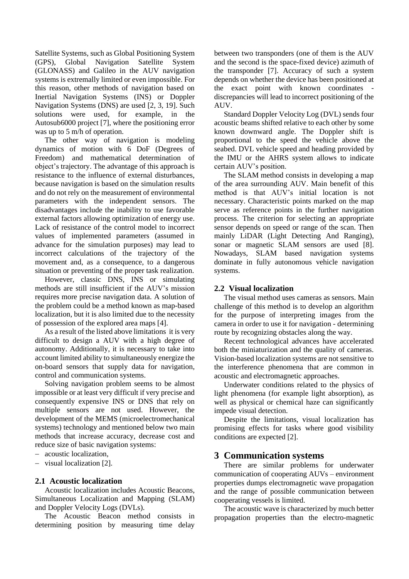Satellite Systems, such as Global Positioning System (GPS), Global Navigation Satellite System (GLONASS) and Galileo in the AUV navigation systems is extremally limited or even impossible. For this reason, other methods of navigation based on Inertial Navigation Systems (INS) or Doppler Navigation Systems (DNS) are used [2, 3, 19]. Such solutions were used, for example, in the Autosub6000 project [7], where the positioning error was up to 5 m/h of operation.

The other way of navigation is modeling dynamics of motion with 6 DoF (Degrees of Freedom) and mathematical determination of object's trajectory. The advantage of this approach is resistance to the influence of external disturbances, because navigation is based on the simulation results and do not rely on the measurement of environmental parameters with the independent sensors. The disadvantages include the inability to use favorable external factors allowing optimization of energy use. Lack of resistance of the control model to incorrect values of implemented parameters (assumed in advance for the simulation purposes) may lead to incorrect calculations of the trajectory of the movement and, as a consequence, to a dangerous situation or preventing of the proper task realization.

However, classic DNS, INS or simulating methods are still insufficient if the AUV's mission requires more precise navigation data. A solution of the problem could be a method known as map-based localization, but it is also limited due to the necessity of possession of the explored area maps [4].

As a result of the listed above limitations it is very difficult to design a AUV with a high degree of autonomy. Additionally, it is necessary to take into account limited ability to simultaneously energize the on-board sensors that supply data for navigation, control and communication systems.

Solving navigation problem seems to be almost impossible or at least very difficult if very precise and consequently expensive INS or DNS that rely on multiple sensors are not used. However, the development of the MEMS (microelectromechanical systems) technology and mentioned below two main methods that increase accuracy, decrease cost and reduce size of basic navigation systems:

- − acoustic localization,
- − visual localization [2].

### **2.1 Acoustic localization**

Acoustic localization includes Acoustic Beacons, Simultaneous Localization and Mapping (SLAM) and Doppler Velocity Logs (DVLs).

The Acoustic Beacon method consists in determining position by measuring time delay

between two transponders (one of them is the AUV and the second is the space-fixed device) azimuth of the transponder [7]. Accuracy of such a system depends on whether the device has been positioned at the exact point with known coordinates discrepancies will lead to incorrect positioning of the AUV.

Standard Doppler Velocity Log (DVL) sends four acoustic beams shifted relative to each other by some known downward angle. The Doppler shift is proportional to the speed the vehicle above the seabed. DVL vehicle speed and heading provided by the IMU or the AHRS system allows to indicate certain AUV's position.

The SLAM method consists in developing a map of the area surrounding AUV. Main benefit of this method is that AUV's initial location is not necessary. Characteristic points marked on the map serve as reference points in the further navigation process. The criterion for selecting an appropriate sensor depends on speed or range of the scan. Then mainly LiDAR (Light Detecting And Ranging), sonar or magnetic SLAM sensors are used [8]. Nowadays, SLAM based navigation systems dominate in fully autonomous vehicle navigation systems.

#### **2.2 Visual localization**

The visual method uses cameras as sensors. Main challenge of this method is to develop an algorithm for the purpose of interpreting images from the camera in order to use it for navigation - determining route by recognizing obstacles along the way.

Recent technological advances have accelerated both the miniaturization and the quality of cameras. Vision-based localization systems are not sensitive to the interference phenomena that are common in acoustic and electromagnetic approaches.

Underwater conditions related to the physics of light phenomena (for example light absorption), as well as physical or chemical haze can significantly impede visual detection.

Despite the limitations, visual localization has promising effects for tasks where good visibility conditions are expected [2].

## **3 Communication systems**

There are similar problems for underwater communication of cooperating AUVs – environment properties dumps electromagnetic wave propagation and the range of possible communication between cooperating vessels is limited.

The acoustic wave is characterized by much better propagation properties than the electro-magnetic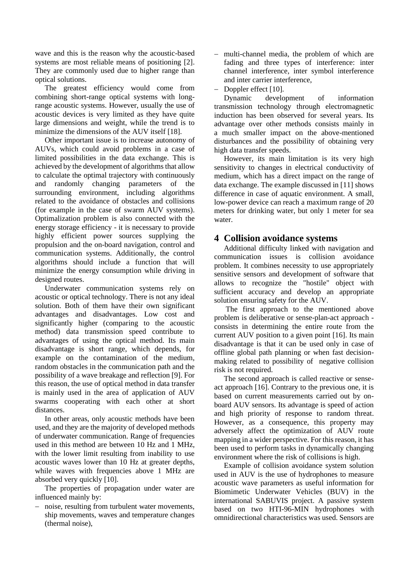wave and this is the reason why the acoustic-based systems are most reliable means of positioning [2]. They are commonly used due to higher range than optical solutions.

The greatest efficiency would come from combining short-range optical systems with longrange acoustic systems. However, usually the use of acoustic devices is very limited as they have quite large dimensions and weight, while the trend is to minimize the dimensions of the AUV itself [18].

Other important issue is to increase autonomy of AUVs, which could avoid problems in a case of limited possibilities in the data exchange. This is achieved by the development of algorithms that allow to calculate the optimal trajectory with continuously and randomly changing parameters of the surrounding environment, including algorithms related to the avoidance of obstacles and collisions (for example in the case of swarm AUV systems). Optimalization problem is also connected with the energy storage efficiency - it is necessary to provide highly efficient power sources supplying the propulsion and the on-board navigation, control and communication systems. Additionally, the control algorithms should include a function that will minimize the energy consumption while driving in designed routes.

Underwater communication systems rely on acoustic or optical technology. There is not any ideal solution. Both of them have their own significant advantages and disadvantages. Low cost and significantly higher (comparing to the acoustic method) data transmission speed contribute to advantages of using the optical method. Its main disadvantage is short range, which depends, for example on the contamination of the medium, random obstacles in the communication path and the possibility of a wave breakage and reflection [9]. For this reason, the use of optical method in data transfer is mainly used in the area of application of AUV swarms cooperating with each other at short distances.

In other areas, only acoustic methods have been used, and they are the majority of developed methods of underwater communication. Range of frequencies used in this method are between 10 Hz and 1 MHz, with the lower limit resulting from inability to use acoustic waves lower than 10 Hz at greater depths, while waves with frequencies above 1 MHz are absorbed very quickly [10].

The properties of propagation under water are influenced mainly by:

− noise, resulting from turbulent water movements, ship movements, waves and temperature changes (thermal noise),

- − multi-channel media, the problem of which are fading and three types of interference: inter channel interference, inter symbol interference and inter carrier interference,
- Doppler effect [10].

Dynamic development of information transmission technology through electromagnetic induction has been observed for several years. Its advantage over other methods consists mainly in a much smaller impact on the above-mentioned disturbances and the possibility of obtaining very high data transfer speeds.

However, its main limitation is its very high sensitivity to changes in electrical conductivity of medium, which has a direct impact on the range of data exchange. The example discussed in [11] shows difference in case of aquatic environment. A small, low-power device can reach a maximum range of 20 meters for drinking water, but only 1 meter for sea water.

# **4 Collision avoidance systems**

Additional difficulty linked with navigation and communication issues is collision avoidance problem. It combines necessity to use appropriately sensitive sensors and development of software that allows to recognize the "hostile" object with sufficient accuracy and develop an appropriate solution ensuring safety for the AUV.

The first approach to the mentioned above problem is deliberative or sense-plan-act approach consists in determining the entire route from the current AUV position to a given point [16]. Its main disadvantage is that it can be used only in case of offline global path planning or when fast decisionmaking related to possibility of negative collision risk is not required.

The second approach is called reactive or senseact approach [16]. Contrary to the previous one, it is based on current measurements carried out by onboard AUV sensors. Its advantage is speed of action and high priority of response to random threat. However, as a consequence, this property may adversely affect the optimization of AUV route mapping in a wider perspective. For this reason, it has been used to perform tasks in dynamically changing environment where the risk of collisions is high.

Example of collision avoidance system solution used in AUV is the use of hydrophones to measure acoustic wave parameters as useful information for Biomimetic Underwater Vehicles (BUV) in the international SABUVIS project. A passive system based on two HTI-96-MIN hydrophones with omnidirectional characteristics was used. Sensors are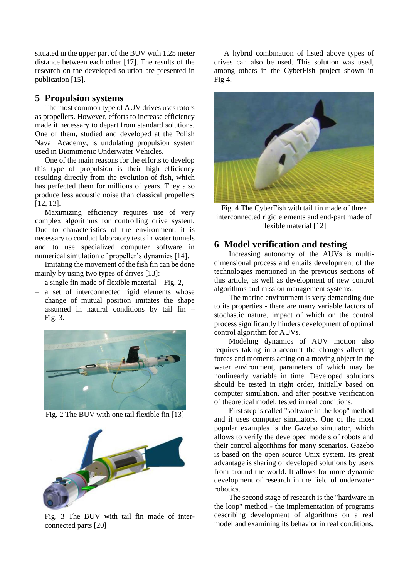situated in the upper part of the BUV with 1.25 meter distance between each other [17]. The results of the research on the developed solution are presented in publication [15].

### **5 Propulsion systems**

The most common type of AUV drives uses rotors as propellers. However, efforts to increase efficiency made it necessary to depart from standard solutions. One of them, studied and developed at the Polish Naval Academy, is undulating propulsion system used in Biomimenic Underwater Vehicles.

One of the main reasons for the efforts to develop this type of propulsion is their high efficiency resulting directly from the evolution of fish, which has perfected them for millions of years. They also produce less acoustic noise than classical propellers [12, 13].

Maximizing efficiency requires use of very complex algorithms for controlling drive system. Due to characteristics of the environment, it is necessary to conduct laboratory tests in water tunnels and to use specialized computer software in numerical simulation of propeller's dynamics [14].

Imitating the movement of the fish fin can be done mainly by using two types of drives [13]:

- − a single fin made of flexible material Fig. 2,
- − a set of interconnected rigid elements whose change of mutual position imitates the shape assumed in natural conditions by tail fin – Fig. 3.



Fig. 2 The BUV with one tail flexible fin [13]



Fig. 3 The BUV with tail fin made of interconnected parts [20]

A hybrid combination of listed above types of drives can also be used. This solution was used, among others in the CyberFish project shown in Fig 4.



Fig. 4 The CyberFish with tail fin made of three interconnected rigid elements and end-part made of flexible material [12]

### **6 Model verification and testing**

Increasing autonomy of the AUVs is multidimensional process and entails development of the technologies mentioned in the previous sections of this article, as well as development of new control algorithms and mission management systems.

The marine environment is very demanding due to its properties - there are many variable factors of stochastic nature, impact of which on the control process significantly hinders development of optimal control algorithm for AUVs.

Modeling dynamics of AUV motion also requires taking into account the changes affecting forces and moments acting on a moving object in the water environment, parameters of which may be nonlinearly variable in time. Developed solutions should be tested in right order, initially based on computer simulation, and after positive verification of theoretical model, tested in real conditions.

First step is called "software in the loop" method and it uses computer simulators. One of the most popular examples is the Gazebo simulator, which allows to verify the developed models of robots and their control algorithms for many scenarios. Gazebo is based on the open source Unix system. Its great advantage is sharing of developed solutions by users from around the world. It allows for more dynamic development of research in the field of underwater robotics.

The second stage of research is the "hardware in the loop" method - the implementation of programs describing development of algorithms on a real model and examining its behavior in real conditions.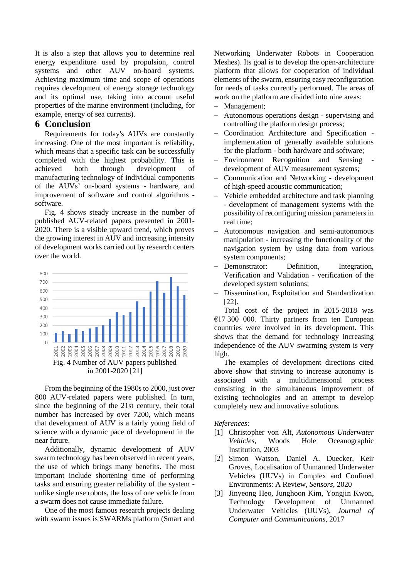It is also a step that allows you to determine real energy expenditure used by propulsion, control systems and other AUV on-board systems. Achieving maximum time and scope of operations requires development of energy storage technology and its optimal use, taking into account useful properties of the marine environment (including, for example, energy of sea currents).

#### **6 Conclusion**

Requirements for today's AUVs are constantly increasing. One of the most important is reliability, which means that a specific task can be successfully completed with the highest probability. This is achieved both through development of manufacturing technology of individual components of the AUVs' on-board systems - hardware, and improvement of software and control algorithms software.

Fig. 4 shows steady increase in the number of published AUV-related papers presented in 2001- 2020. There is a visible upward trend, which proves the growing interest in AUV and increasing intensity of development works carried out by research centers over the world.



From the beginning of the 1980s to 2000, just over 800 AUV-related papers were published. In turn, since the beginning of the 21st century, their total number has increased by over 7200, which means that development of AUV is a fairly young field of science with a dynamic pace of development in the near future.

Additionally, dynamic development of AUV swarm technology has been observed in recent years, the use of which brings many benefits. The most important include shortening time of performing tasks and ensuring greater reliability of the system unlike single use robots, the loss of one vehicle from a swarm does not cause immediate failure.

One of the most famous research projects dealing with swarm issues is SWARMs platform (Smart and Networking Underwater Robots in Cooperation Meshes). Its goal is to develop the open-architecture platform that allows for cooperation of individual elements of the swarm, ensuring easy reconfiguration for needs of tasks currently performed. The areas of work on the platform are divided into nine areas:

- − Management;
- − Autonomous operations design supervising and controlling the platform design process;
- − Coordination Architecture and Specification implementation of generally available solutions for the platform - both hardware and software;
- − Environment Recognition and Sensing development of AUV measurement systems;
- − Communication and Networking development of high-speed acoustic communication;
- − Vehicle embedded architecture and task planning - development of management systems with the possibility of reconfiguring mission parameters in real time;
- − Autonomous navigation and semi-autonomous manipulation - increasing the functionality of the navigation system by using data from various system components;
- − Demonstrator: Definition, Integration, Verification and Validation - verification of the developed system solutions;
- − Dissemination, Exploitation and Standardization [22].

Total cost of the project in 2015-2018 was €17 300 000. Thirty partners from ten European countries were involved in its development. This shows that the demand for technology increasing independence of the AUV swarming system is very high.

The examples of development directions cited above show that striving to increase autonomy is associated with a multidimensional process consisting in the simultaneous improvement of existing technologies and an attempt to develop completely new and innovative solutions.

#### *References:*

- [1] Christopher von Alt, *Autonomous Underwater Vehicles*, Woods Hole Oceanographic Institution, 2003
- [2] Simon Watson, Daniel A. Duecker, Keir Groves, Localisation of Unmanned Underwater Vehicles (UUVs) in Complex and Confined Environments: A Review, *Sensors*, 2020
- [3] Jinyeong Heo, Junghoon Kim, Yongjin Kwon, Technology Development of Unmanned Underwater Vehicles (UUVs), *Journal of Computer and Communications*, 2017